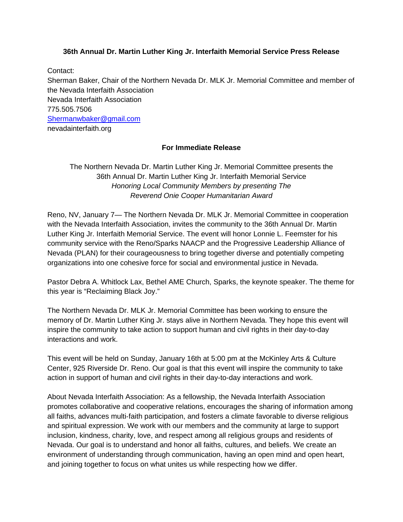## **36th Annual Dr. Martin Luther King Jr. Interfaith Memorial Service Press Release**

Contact: Sherman Baker, Chair of the Northern Nevada Dr. MLK Jr. Memorial Committee and member of the Nevada Interfaith Association Nevada Interfaith Association 775.505.7506 Shermanwbaker@gmail.com nevadainterfaith.org

## **For Immediate Release**

The Northern Nevada Dr. Martin Luther King Jr. Memorial Committee presents the 36th Annual Dr. Martin Luther King Jr. Interfaith Memorial Service *Honoring Local Community Members by presenting The Reverend Onie Cooper Humanitarian Award*

Reno, NV, January 7— The Northern Nevada Dr. MLK Jr. Memorial Committee in cooperation with the Nevada Interfaith Association, invites the community to the 36th Annual Dr. Martin Luther King Jr. Interfaith Memorial Service. The event will honor Lonnie L. Feemster for his community service with the Reno/Sparks NAACP and the Progressive Leadership Alliance of Nevada (PLAN) for their courageousness to bring together diverse and potentially competing organizations into one cohesive force for social and environmental justice in Nevada.

Pastor Debra A. Whitlock Lax, Bethel AME Church, Sparks, the keynote speaker. The theme for this year is "Reclaiming Black Joy."

The Northern Nevada Dr. MLK Jr. Memorial Committee has been working to ensure the memory of Dr. Martin Luther King Jr. stays alive in Northern Nevada. They hope this event will inspire the community to take action to support human and civil rights in their day-to-day interactions and work.

This event will be held on Sunday, January 16th at 5:00 pm at the McKinley Arts & Culture Center, 925 Riverside Dr. Reno. Our goal is that this event will inspire the community to take action in support of human and civil rights in their day-to-day interactions and work.

About Nevada Interfaith Association: As a fellowship, the Nevada Interfaith Association promotes collaborative and cooperative relations, encourages the sharing of information among all faiths, advances multi‐faith participation, and fosters a climate favorable to diverse religious and spiritual expression. We work with our members and the community at large to support inclusion, kindness, charity, love, and respect among all religious groups and residents of Nevada. Our goal is to understand and honor all faiths, cultures, and beliefs. We create an environment of understanding through communication, having an open mind and open heart, and joining together to focus on what unites us while respecting how we differ.